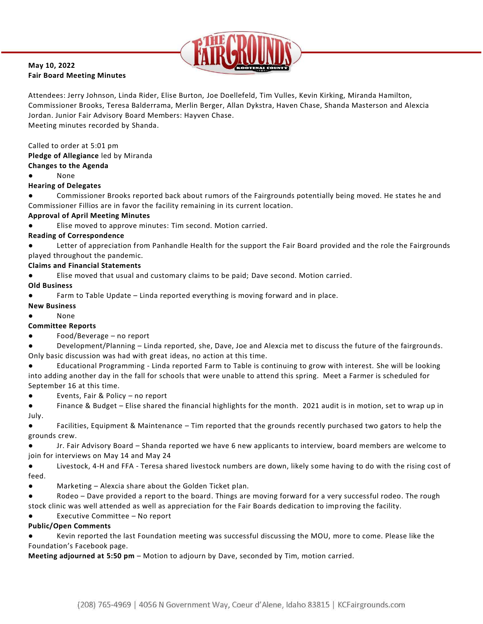

#### **May 10, 2022 Fair Board Meeting Minutes**

Attendees: Jerry Johnson, Linda Rider, Elise Burton, Joe Doellefeld, Tim Vulles, Kevin Kirking, Miranda Hamilton, Commissioner Brooks, Teresa Balderrama, Merlin Berger, Allan Dykstra, Haven Chase, Shanda Masterson and Alexcia Jordan. Junior Fair Advisory Board Members: Hayven Chase. Meeting minutes recorded by Shanda.

### Called to order at 5:01 pm

**Pledge of Allegiance** led by Miranda

#### **Changes to the Agenda**

**None** 

### **Hearing of Delegates**

Commissioner Brooks reported back about rumors of the Fairgrounds potentially being moved. He states he and Commissioner Fillios are in favor the facility remaining in its current location.

### **Approval of April Meeting Minutes**

Elise moved to approve minutes: Tim second. Motion carried.

### **Reading of Correspondence**

Letter of appreciation from Panhandle Health for the support the Fair Board provided and the role the Fairgrounds played throughout the pandemic.

## **Claims and Financial Statements**

Elise moved that usual and customary claims to be paid; Dave second. Motion carried.

### **Old Business**

Farm to Table Update – Linda reported everything is moving forward and in place.

### **New Business**

**None** 

### **Committee Reports**

 $Food/Beverage - no report$ 

Development/Planning – Linda reported, she, Dave, Joe and Alexcia met to discuss the future of the fairgrounds. Only basic discussion was had with great ideas, no action at this time.

Educational Programming - Linda reported Farm to Table is continuing to grow with interest. She will be looking into adding another day in the fall for schools that were unable to attend this spring. Meet a Farmer is scheduled for September 16 at this time.

● Events, Fair & Policy – no report

Finance & Budget – Elise shared the financial highlights for the month. 2021 audit is in motion, set to wrap up in July.

● Facilities, Equipment & Maintenance – Tim reported that the grounds recently purchased two gators to help the grounds crew.

Jr. Fair Advisory Board – Shanda reported we have 6 new applicants to interview, board members are welcome to join for interviews on May 14 and May 24

● Livestock, 4-H and FFA - Teresa shared livestock numbers are down, likely some having to do with the rising cost of feed.

- Marketing Alexcia share about the Golden Ticket plan.
- Rodeo Dave provided a report to the board. Things are moving forward for a very successful rodeo. The rough stock clinic was well attended as well as appreciation for the Fair Boards dedication to improving the facility.
- Executive Committee No report

# **Public/Open Comments**

Kevin reported the last Foundation meeting was successful discussing the MOU, more to come. Please like the Foundation's Facebook page.

**Meeting adjourned at 5:50 pm** – Motion to adjourn by Dave, seconded by Tim, motion carried.